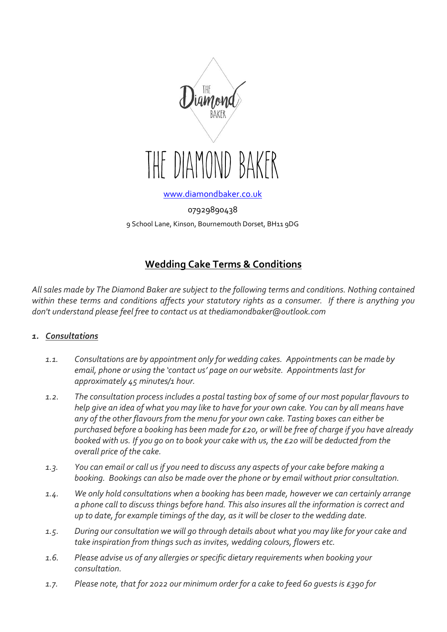

[www.diamondbaker.co.uk](http://www.diamondbaker.co.uk/)

07929890438 9 School Lane, Kinson, Bournemouth Dorset, BH11 9DG

# **Wedding Cake Terms & Conditions**

*All sales made by The Diamond Baker are subject to the following terms and conditions. Nothing contained within these terms and conditions affects your statutory rights as a consumer. If there is anything you don't understand please feel free to contact us at thediamondbaker@outlook.com*

#### *1. Consultations*

- *1.1. Consultations are by appointment only for wedding cakes. Appointments can be made by email, phone or using the 'contact us' page on our website. Appointments last for approximately 45 minutes/1 hour.*
- *1.2. The consultation process includes a postal tasting box of some of our most popular flavours to help give an idea of what you may like to have for your own cake. You can by all means have any of the other flavours from the menu for your own cake. Tasting boxes can either be purchased before a booking has been made for £20, or will be free of charge if you have already booked with us. If you go on to book your cake with us, the £20 will be deducted from the overall price of the cake.*
- *1.3. You can email or call us if you need to discuss any aspects of your cake before making a booking. Bookings can also be made over the phone or by email without prior consultation.*
- *1.4. We only hold consultations when a booking has been made, however we can certainly arrange a phone call to discuss things before hand. This also insures all the information is correct and up to date, for example timings of the day, as it will be closer to the wedding date.*
- *1.5. During our consultation we will go through details about what you may like for your cake and take inspiration from things such as invites, wedding colours, flowers etc.*
- *1.6. Please advise us of any allergies or specific dietary requirements when booking your consultation.*
- *1.7. Please note, that for 2022 our minimum order for a cake to feed 60 guests is £390 for*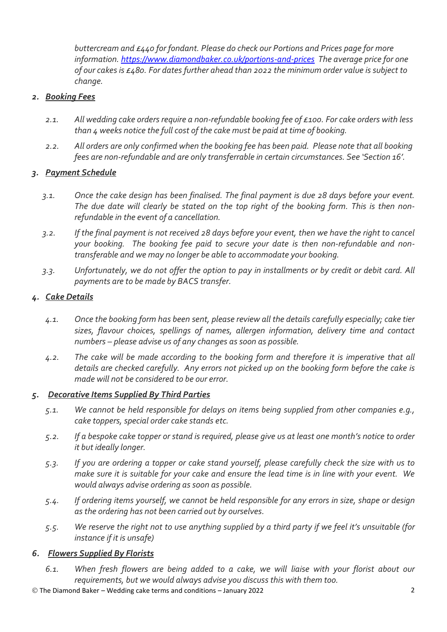*buttercream and £440 for fondant. Please do check our Portions and Prices page for more information.<https://www.diamondbaker.co.uk/portions-and-prices> The average price for one of our cakes is £480. For dates further ahead than 2022 the minimum order value is subject to change.*

# *2. Booking Fees*

- *2.1. All wedding cake orders require a non-refundable booking fee of £100. For cake orders with less than 4 weeks notice the full cost of the cake must be paid at time of booking.*
- *2.2. All orders are only confirmed when the booking fee has been paid. Please note that all booking fees are non-refundable and are only transferrable in certain circumstances. See 'Section 16'.*

## *3. Payment Schedule*

- *3.1. Once the cake design has been finalised. The final payment is due 28 days before your event. The due date will clearly be stated on the top right of the booking form. This is then nonrefundable in the event of a cancellation.*
- *3.2. If the final payment is not received 28 days before your event, then we have the right to cancel your booking. The booking fee paid to secure your date is then non-refundable and nontransferable and we may no longer be able to accommodate your booking.*
- *3.3. Unfortunately, we do not offer the option to pay in installments or by credit or debit card. All payments are to be made by BACS transfer.*

# *4. Cake Details*

- *4.1. Once the booking form has been sent, please review all the details carefully especially; cake tier sizes, flavour choices, spellings of names, allergen information, delivery time and contact numbers – please advise us of any changes as soon as possible.*
- *4.2. The cake will be made according to the booking form and therefore it is imperative that all details are checked carefully. Any errors not picked up on the booking form before the cake is made will not be considered to be our error.*

#### *5. Decorative Items Supplied By Third Parties*

- *5.1. We cannot be held responsible for delays on items being supplied from other companies e.g., cake toppers, special order cake stands etc.*
- *5.2. If a bespoke cake topper or stand is required, please give us at least one month's notice to order it but ideally longer.*
- *5.3. If you are ordering a topper or cake stand yourself, please carefully check the size with us to make sure it is suitable for your cake and ensure the lead time is in line with your event. We would always advise ordering as soon as possible.*
- *5.4. If ordering items yourself, we cannot be held responsible for any errors in size, shape or design as the ordering has not been carried out by ourselves.*
- *5.5. We reserve the right not to use anything supplied by a third party if we feel it's unsuitable (for instance if it is unsafe)*

#### *6. Flowers Supplied By Florists*

*6.1. When fresh flowers are being added to a cake, we will liaise with your florist about our requirements, but we would always advise you discuss this with them too.*

© The Diamond Baker – Wedding cake terms and conditions – January 2022 2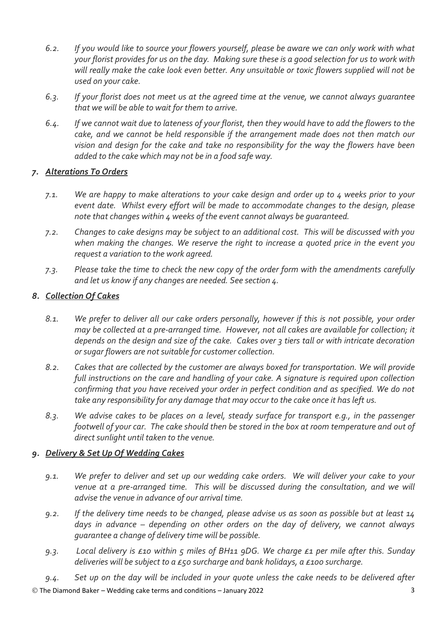- *6.2. If you would like to source your flowers yourself, please be aware we can only work with what your florist provides for us on the day. Making sure these is a good selection for us to work with will really make the cake look even better. Any unsuitable or toxic flowers supplied will not be used on your cake.*
- *6.3. If your florist does not meet us at the agreed time at the venue, we cannot always guarantee that we will be able to wait for them to arrive.*
- *6.4. If we cannot wait due to lateness of your florist, then they would have to add the flowers to the cake, and we cannot be held responsible if the arrangement made does not then match our vision and design for the cake and take no responsibility for the way the flowers have been added to the cake which may not be in a food safe way.*

## *7. Alterations To Orders*

- *7.1. We are happy to make alterations to your cake design and order up to 4 weeks prior to your event date. Whilst every effort will be made to accommodate changes to the design, please note that changes within 4 weeks of the event cannot always be guaranteed.*
- *7.2. Changes to cake designs may be subject to an additional cost. This will be discussed with you when making the changes. We reserve the right to increase a quoted price in the event you request a variation to the work agreed.*
- *7.3. Please take the time to check the new copy of the order form with the amendments carefully and let us know if any changes are needed. See section 4.*

## *8. Collection Of Cakes*

- *8.1. We prefer to deliver all our cake orders personally, however if this is not possible, your order may be collected at a pre-arranged time. However, not all cakes are available for collection; it depends on the design and size of the cake. Cakes over 3 tiers tall or with intricate decoration or sugar flowers are not suitable for customer collection.*
- *8.2. Cakes that are collected by the customer are always boxed for transportation. We will provide full instructions on the care and handling of your cake. A signature is required upon collection confirming that you have received your order in perfect condition and as specified. We do not take any responsibility for any damage that may occur to the cake once it has left us.*
- *8.3. We advise cakes to be places on a level, steady surface for transport e.g., in the passenger footwell of your car. The cake should then be stored in the box at room temperature and out of direct sunlight until taken to the venue.*

# *9. Delivery & Set Up Of Wedding Cakes*

- *9.1. We prefer to deliver and set up our wedding cake orders. We will deliver your cake to your venue at a pre-arranged time. This will be discussed during the consultation, and we will advise the venue in advance of our arrival time.*
- *9.2. If the delivery time needs to be changed, please advise us as soon as possible but at least 14 days in advance – depending on other orders on the day of delivery, we cannot always guarantee a change of delivery time will be possible.*
- *9.3. Local delivery is £10 within 5 miles of BH11 9DG. We charge £1 per mile after this. Sunday deliveries will be subject to a £50 surcharge and bank holidays, a £100 surcharge.*
- *9.4. Set up on the day will be included in your quote unless the cake needs to be delivered after*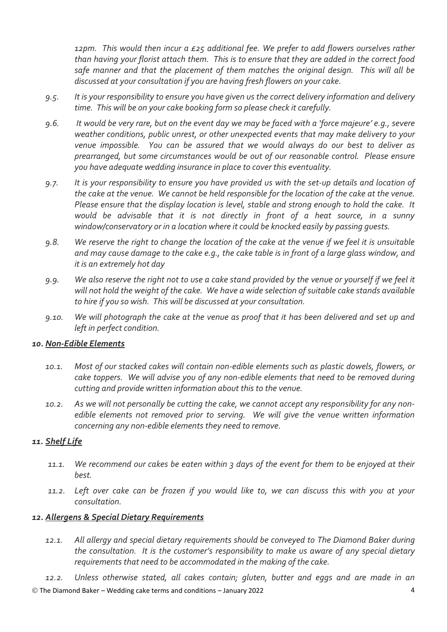*12pm. This would then incur a £25 additional fee. We prefer to add flowers ourselves rather than having your florist attach them. This is to ensure that they are added in the correct food safe manner and that the placement of them matches the original design. This will all be discussed at your consultation if you are having fresh flowers on your cake.*

- *9.5. It is your responsibility to ensure you have given us the correct delivery information and delivery time. This will be on your cake booking form so please check it carefully.*
- *9.6. It would be very rare, but on the event day we may be faced with a 'force majeure' e.g., severe weather conditions, public unrest, or other unexpected events that may make delivery to your venue impossible. You can be assured that we would always do our best to deliver as prearranged, but some circumstances would be out of our reasonable control. Please ensure you have adequate wedding insurance in place to cover this eventuality.*
- *9.7. It is your responsibility to ensure you have provided us with the set-up details and location of the cake at the venue. We cannot be held responsible for the location of the cake at the venue. Please ensure that the display location is level, stable and strong enough to hold the cake. It would be advisable that it is not directly in front of a heat source, in a sunny window/conservatory or in a location where it could be knocked easily by passing guests.*
- *9.8. We reserve the right to change the location of the cake at the venue if we feel it is unsuitable and may cause damage to the cake e.g., the cake table is in front of a large glass window, and it is an extremely hot day*
- *9.9. We also reserve the right not to use a cake stand provided by the venue or yourself if we feel it will not hold the weight of the cake. We have a wide selection of suitable cake stands available to hire if you so wish. This will be discussed at your consultation.*
- *9.10. We will photograph the cake at the venue as proof that it has been delivered and set up and left in perfect condition.*

#### *10. Non-Edible Elements*

- *10.1. Most of our stacked cakes will contain non-edible elements such as plastic dowels, flowers, or cake toppers. We will advise you of any non-edible elements that need to be removed during cutting and provide written information about this to the venue.*
- *10.2. As we will not personally be cutting the cake, we cannot accept any responsibility for any nonedible elements not removed prior to serving. We will give the venue written information concerning any non-edible elements they need to remove.*

## *11. Shelf Life*

- *11.1. We recommend our cakes be eaten within 3 days of the event for them to be enjoyed at their best.*
- *11.2. Left over cake can be frozen if you would like to, we can discuss this with you at your consultation.*

## *12. Allergens & Special Dietary Requirements*

*12.1. All allergy and special dietary requirements should be conveyed to The Diamond Baker during the consultation. It is the customer's responsibility to make us aware of any special dietary requirements that need to be accommodated in the making of the cake.*

© The Diamond Baker – Wedding cake terms and conditions – January 2022 4 *12.2. Unless otherwise stated, all cakes contain; gluten, butter and eggs and are made in an*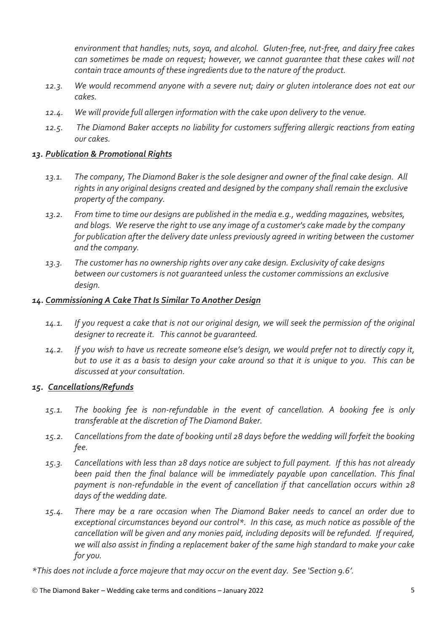*environment that handles; nuts, soya, and alcohol. Gluten-free, nut-free, and dairy free cakes can sometimes be made on request; however, we cannot guarantee that these cakes will not contain trace amounts of these ingredients due to the nature of the product.*

- *12.3. We would recommend anyone with a severe nut; dairy or gluten intolerance does not eat our cakes.*
- *12.4. We will provide full allergen information with the cake upon delivery to the venue.*
- *12.5. The Diamond Baker accepts no liability for customers suffering allergic reactions from eating our cakes.*

#### *13. Publication & Promotional Rights*

- *13.1. The company, The Diamond Baker is the sole designer and owner of the final cake design. All rights in any original designs created and designed by the company shall remain the exclusive property of the company.*
- *13.2. From time to time our designs are published in the media e.g., wedding magazines, websites, and blogs. We reserve the right to use any image of a customer's cake made by the company for publication after the delivery date unless previously agreed in writing between the customer and the company.*
- *13.3. The customer has no ownership rights over any cake design. Exclusivity of cake designs between our customers is not guaranteed unless the customer commissions an exclusive design.*

#### *14. Commissioning A Cake That Is Similar To Another Design*

- *14.1. If you request a cake that is not our original design, we will seek the permission of the original designer to recreate it. This cannot be guaranteed.*
- *14.2. If you wish to have us recreate someone else's design, we would prefer not to directly copy it, but to use it as a basis to design your cake around so that it is unique to you. This can be discussed at your consultation.*

#### *15. Cancellations/Refunds*

- *15.1. The booking fee is non-refundable in the event of cancellation. A booking fee is only transferable at the discretion of The Diamond Baker.*
- *15.2. Cancellations from the date of booking until 28 days before the wedding will forfeit the booking fee.*
- *15.3. Cancellations with less than 28 days notice are subject to full payment. If this has not already been paid then the final balance will be immediately payable upon cancellation. This final payment is non-refundable in the event of cancellation if that cancellation occurs within 28 days of the wedding date.*
- *15.4. There may be a rare occasion when The Diamond Baker needs to cancel an order due to exceptional circumstances beyond our control\*. In this case, as much notice as possible of the cancellation will be given and any monies paid, including deposits will be refunded. If required, we will also assist in finding a replacement baker of the same high standard to make your cake for you.*

*\*This does not include a force majeure that may occur on the event day. See 'Section 9.6'.*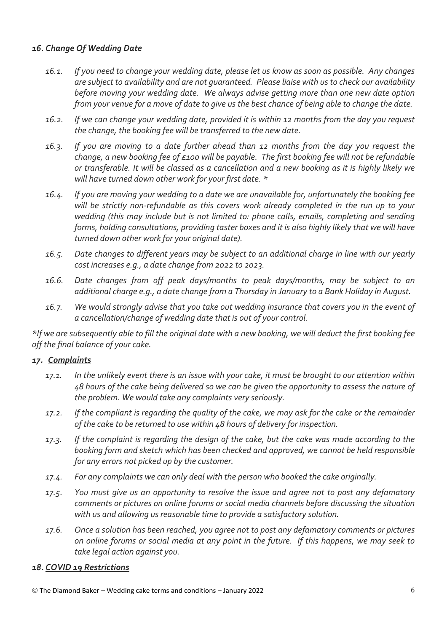## *16. Change Of Wedding Date*

- *16.1. If you need to change your wedding date, please let us know as soon as possible. Any changes are subject to availability and are not guaranteed. Please liaise with us to check our availability before moving your wedding date. We always advise getting more than one new date option from your venue for a move of date to give us the best chance of being able to change the date.*
- *16.2. If we can change your wedding date, provided it is within 12 months from the day you request the change, the booking fee will be transferred to the new date.*
- *16.3. If you are moving to a date further ahead than 12 months from the day you request the change, a new booking fee of £100 will be payable. The first booking fee will not be refundable or transferable. It will be classed as a cancellation and a new booking as it is highly likely we will have turned down other work for your first date. \**
- *16.4. If you are moving your wedding to a date we are unavailable for, unfortunately the booking fee will be strictly non-refundable as this covers work already completed in the run up to your wedding (this may include but is not limited to: phone calls, emails, completing and sending forms, holding consultations, providing taster boxes and it is also highly likely that we will have turned down other work for your original date).*
- *16.5. Date changes to different years may be subject to an additional charge in line with our yearly cost increases e.g., a date change from 2022 to 2023.*
- *16.6. Date changes from off peak days/months to peak days/months, may be subject to an additional charge e.g., a date change from a Thursday in January to a Bank Holiday in August.*
- *16.7. We would strongly advise that you take out wedding insurance that covers you in the event of a cancellation/change of wedding date that is out of your control.*

*\*If we are subsequently able to fill the original date with a new booking, we will deduct the first booking fee off the final balance of your cake.*

#### *17. Complaints*

- *17.1. In the unlikely event there is an issue with your cake, it must be brought to our attention within 48 hours of the cake being delivered so we can be given the opportunity to assess the nature of the problem. We would take any complaints very seriously.*
- *17.2. If the compliant is regarding the quality of the cake, we may ask for the cake or the remainder of the cake to be returned to use within 48 hours of delivery for inspection.*
- *17.3. If the complaint is regarding the design of the cake, but the cake was made according to the booking form and sketch which has been checked and approved, we cannot be held responsible for any errors not picked up by the customer.*
- *17.4. For any complaints we can only deal with the person who booked the cake originally.*
- *17.5. You must give us an opportunity to resolve the issue and agree not to post any defamatory comments or pictures on online forums or social media channels before discussing the situation with us and allowing us reasonable time to provide a satisfactory solution.*
- *17.6. Once a solution has been reached, you agree not to post any defamatory comments or pictures on online forums or social media at any point in the future. If this happens, we may seek to take legal action against you.*

#### *18. COVID 19 Restrictions*